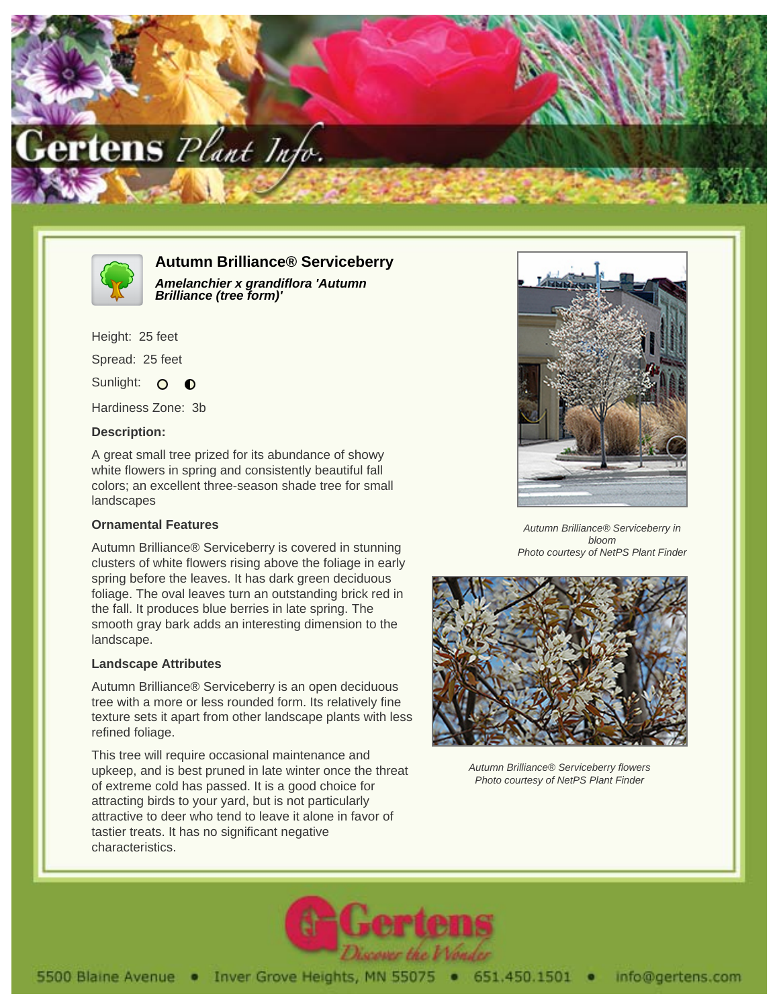



# **Autumn Brilliance® Serviceberry**

**Amelanchier x grandiflora 'Autumn Brilliance (tree form)'**

Height: 25 feet Spread: 25 feet

Sunlight: O  $\bullet$ 

Hardiness Zone: 3b

## **Description:**

A great small tree prized for its abundance of showy white flowers in spring and consistently beautiful fall colors; an excellent three-season shade tree for small landscapes

### **Ornamental Features**

Autumn Brilliance® Serviceberry is covered in stunning clusters of white flowers rising above the foliage in early spring before the leaves. It has dark green deciduous foliage. The oval leaves turn an outstanding brick red in the fall. It produces blue berries in late spring. The smooth gray bark adds an interesting dimension to the landscape.

### **Landscape Attributes**

Autumn Brilliance® Serviceberry is an open deciduous tree with a more or less rounded form. Its relatively fine texture sets it apart from other landscape plants with less refined foliage.

This tree will require occasional maintenance and upkeep, and is best pruned in late winter once the threat of extreme cold has passed. It is a good choice for attracting birds to your yard, but is not particularly attractive to deer who tend to leave it alone in favor of tastier treats. It has no significant negative characteristics.



Autumn Brilliance® Serviceberry in bloom Photo courtesy of NetPS Plant Finder



Autumn Brilliance® Serviceberry flowers Photo courtesy of NetPS Plant Finder